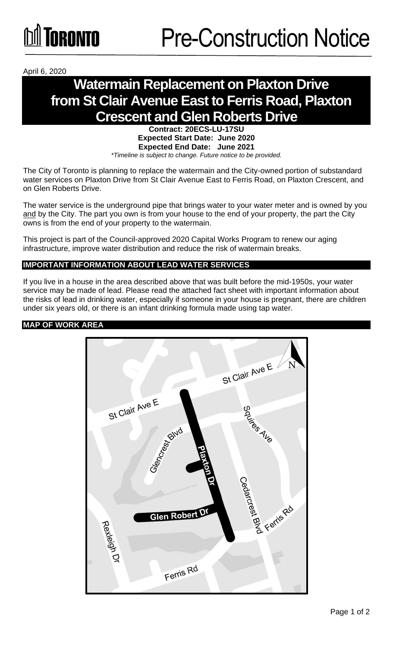

April 6, 2020

# **Watermain Replacement on Plaxton Drive from St Clair Avenue East to Ferris Road, Plaxton Crescent and Glen Roberts Drive**

#### **Contract: 20ECS-LU-17SU Expected Start Date: June 2020 Expected End Date: June 2021**  *\*Timeline is subject to change. Future notice to be provided.*

The City of Toronto is planning to replace the watermain and the City-owned portion of substandard water services on Plaxton Drive from St Clair Avenue East to Ferris Road, on Plaxton Crescent, and on Glen Roberts Drive.

The water service is the underground pipe that brings water to your water meter and is owned by you and by the City. The part you own is from your house to the end of your property, the part the City owns is from the end of your property to the watermain.

This project is part of the Council-approved 2020 Capital Works Program to renew our aging infrastructure, improve water distribution and reduce the risk of watermain breaks.

## **IMPORTANT INFORMATION ABOUT LEAD WATER SERVICES**

If you live in a house in the area described above that was built before the mid-1950s, your water service may be made of lead. Please read the attached fact sheet with important information about the risks of lead in drinking water, especially if someone in your house is pregnant, there are children under six years old, or there is an infant drinking formula made using tap water.

## **MAP OF WORK AREA**